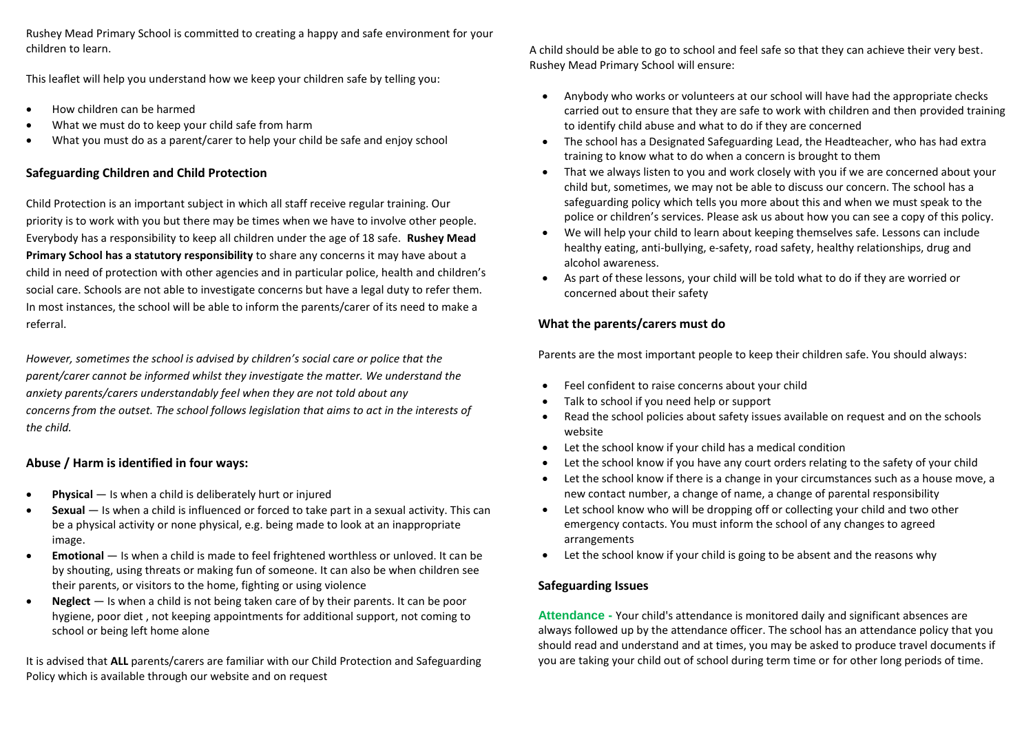Rushey Mead Primary School is committed to creating a happy and safe environment for your children to learn.

This leaflet will help you understand how we keep your children safe by telling you:

- How children can be harmed
- What we must do to keep your child safe from harm
- What you must do as a parent/carer to help your child be safe and enjoy school

## **Safeguarding Children and Child Protection**

Child Protection is an important subject in which all staff receive regular training. Our priority is to work with you but there may be times when we have to involve other people. Everybody has a responsibility to keep all children under the age of 18 safe. **Rushey Mead Primary School has a statutory responsibility** to share any concerns it may have about a child in need of protection with other agencies and in particular police, health and children's social care. Schools are not able to investigate concerns but have a legal duty to refer them. In most instances, the school will be able to inform the parents/carer of its need to make a referral.

*However, sometimes the school is advised by children's social care or police that the parent/carer cannot be informed whilst they investigate the matter. We understand the anxiety parents/carers understandably feel when they are not told about any concerns from the outset. The school follows legislation that aims to act in the interests of the child.* 

### **Abuse / Harm is identified in four ways:**

- **Physical** Is when a child is deliberately hurt or injured
- **Sexual** Is when a child is influenced or forced to take part in a sexual activity. This can be a physical activity or none physical, e.g. being made to look at an inappropriate image.
- **Emotional** Is when a child is made to feel frightened worthless or unloved. It can be by shouting, using threats or making fun of someone. It can also be when children see their parents, or visitors to the home, fighting or using violence
- **Neglect** Is when a child is not being taken care of by their parents. It can be poor hygiene, poor diet , not keeping appointments for additional support, not coming to school or being left home alone

It is advised that **ALL** parents/carers are familiar with our Child Protection and Safeguarding Policy which is available through our website and on request

A child should be able to go to school and feel safe so that they can achieve their very best. Rushey Mead Primary School will ensure:

- Anybody who works or volunteers at our school will have had the appropriate checks carried out to ensure that they are safe to work with children and then provided training to identify child abuse and what to do if they are concerned
- The school has a Designated Safeguarding Lead, the Headteacher, who has had extra training to know what to do when a concern is brought to them
- That we always listen to you and work closely with you if we are concerned about your child but, sometimes, we may not be able to discuss our concern. The school has a safeguarding policy which tells you more about this and when we must speak to the police or children's services. Please ask us about how you can see a copy of this policy.
- We will help your child to learn about keeping themselves safe. Lessons can include healthy eating, anti-bullying, e-safety, road safety, healthy relationships, drug and alcohol awareness.
- As part of these lessons, your child will be told what to do if they are worried or concerned about their safety

## **What the parents/carers must do**

Parents are the most important people to keep their children safe. You should always:

- Feel confident to raise concerns about your child
- Talk to school if you need help or support
- Read the school policies about safety issues available on request and on the schools website
- Let the school know if your child has a medical condition
- Let the school know if you have any court orders relating to the safety of your child
- Let the school know if there is a change in your circumstances such as a house move, a new contact number, a change of name, a change of parental responsibility
- Let school know who will be dropping off or collecting your child and two other emergency contacts. You must inform the school of any changes to agreed arrangements
- Let the school know if your child is going to be absent and the reasons why

### **Safeguarding Issues**

**Attendance -** Your child's attendance is monitored daily and significant absences are always followed up by the attendance officer. The school has an attendance policy that you should read and understand and at times, you may be asked to produce travel documents if you are taking your child out of school during term time or for other long periods of time.